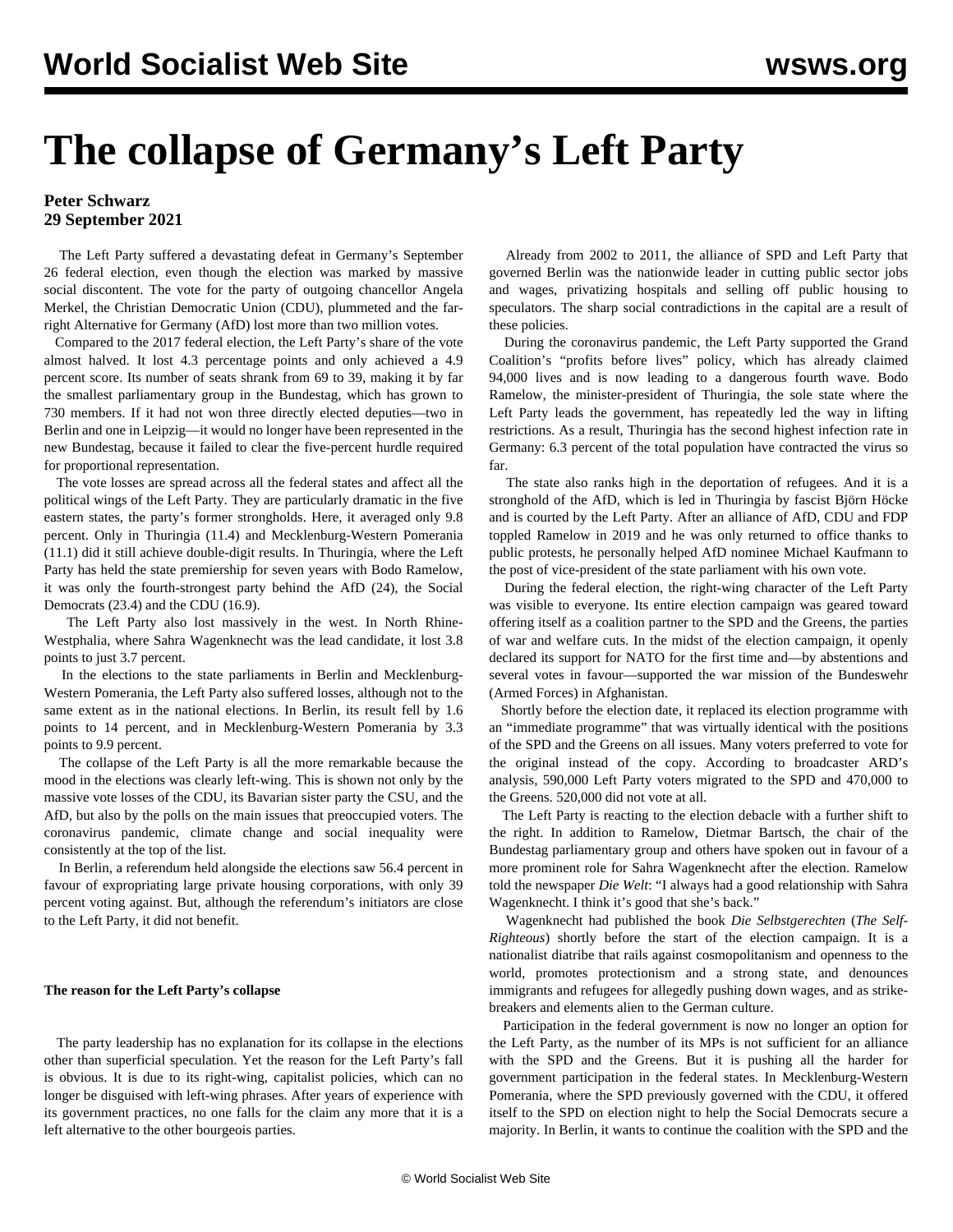# **The collapse of Germany's Left Party**

### **Peter Schwarz 29 September 2021**

 The Left Party suffered a devastating defeat in Germany's September 26 federal election, even though the election was marked by massive social discontent. The vote for the party of outgoing chancellor Angela Merkel, the Christian Democratic Union (CDU), plummeted and the farright Alternative for Germany (AfD) lost more than two million votes.

 Compared to the 2017 federal election, the Left Party's share of the vote almost halved. It lost 4.3 percentage points and only achieved a 4.9 percent score. Its number of seats shrank from 69 to 39, making it by far the smallest parliamentary group in the Bundestag, which has grown to 730 members. If it had not won three directly elected deputies—two in Berlin and one in Leipzig—it would no longer have been represented in the new Bundestag, because it failed to clear the five-percent hurdle required for proportional representation.

 The vote losses are spread across all the federal states and affect all the political wings of the Left Party. They are particularly dramatic in the five eastern states, the party's former strongholds. Here, it averaged only 9.8 percent. Only in Thuringia (11.4) and Mecklenburg-Western Pomerania (11.1) did it still achieve double-digit results. In Thuringia, where the Left Party has held the state premiership for seven years with Bodo Ramelow, it was only the fourth-strongest party behind the AfD (24), the Social Democrats (23.4) and the CDU (16.9).

 The Left Party also lost massively in the west. In North Rhine-Westphalia, where Sahra Wagenknecht was the lead candidate, it lost 3.8 points to just 3.7 percent.

 In the elections to the state parliaments in Berlin and Mecklenburg-Western Pomerania, the Left Party also suffered losses, although not to the same extent as in the national elections. In Berlin, its result fell by 1.6 points to 14 percent, and in Mecklenburg-Western Pomerania by 3.3 points to 9.9 percent.

 The collapse of the Left Party is all the more remarkable because the mood in the elections was clearly left-wing. This is shown not only by the massive vote losses of the CDU, its Bavarian sister party the CSU, and the AfD, but also by the polls on the main issues that preoccupied voters. The coronavirus pandemic, climate change and social inequality were consistently at the top of the list.

 In Berlin, a referendum held alongside the elections saw 56.4 percent in favour of [expropriating](/en/articles/2021/09/13/rent-s13.html) large private housing corporations, with only 39 percent voting against. But, although the referendum's initiators are close to the Left Party, it did not benefit.

#### **The reason for the Left Party's collapse**

 The party leadership has no explanation for its collapse in the elections other than superficial speculation. Yet the reason for the Left Party's fall is obvious. It is due to its right-wing, capitalist policies, which can no longer be disguised with left-wing phrases. After years of experience with its government practices, no one falls for the claim any more that it is a left alternative to the other bourgeois parties.

 Already from 2002 to 2011, the alliance of SPD and Left Party that governed Berlin was the nationwide leader in cutting public sector jobs and wages, privatizing hospitals and selling off public housing to speculators. The sharp social contradictions in the capital are a result of these policies.

 During the coronavirus pandemic, the Left Party supported the Grand Coalition's "profits before lives" policy, which has already claimed 94,000 lives and is now leading to a dangerous fourth wave. Bodo Ramelow, the minister-president of Thuringia, the sole state where the Left Party leads the government, has repeatedly led the way in lifting restrictions. As a result, Thuringia has the second highest infection rate in Germany: 6.3 percent of the total population have contracted the virus so far.

 The state also ranks high in the deportation of refugees. And it is a stronghold of the AfD, which is led in Thuringia by fascist Björn Höcke and is courted by the Left Party. After an alliance of AfD, CDU and FDP toppled Ramelow in 2019 and he was only returned to office thanks to public protests, he personally helped AfD nominee Michael Kaufmann to the post of vice-president of the state parliament with his own vote.

 During the federal election, the right-wing character of the Left Party was visible to everyone. Its entire election campaign was geared toward offering itself as a coalition partner to the SPD and the Greens, the parties of war and welfare cuts. In the midst of the election campaign, it openly declared its support for NATO for the first time and—by abstentions and several votes in favour—supported the war mission of the Bundeswehr (Armed Forces) in Afghanistan.

 Shortly before the election date, it replaced its election programme with an "immediate programme" that was virtually identical with the positions of the SPD and the Greens on all issues. Many voters preferred to vote for the original instead of the copy. According to broadcaster ARD's analysis, 590,000 Left Party voters migrated to the SPD and 470,000 to the Greens. 520,000 did not vote at all.

 The Left Party is reacting to the election debacle with a further shift to the right. In addition to Ramelow, Dietmar Bartsch, the chair of the Bundestag parliamentary group and others have spoken out in favour of a more prominent role for Sahra Wagenknecht after the election. Ramelow told the newspaper *Die Welt*: "I always had a good relationship with Sahra Wagenknecht. I think it's good that she's back."

 Wagenknecht had published the [book](/en/articles/2021/07/14/wag1-j14.html) *Die Selbstgerechten* (*The Self-Righteous*) shortly before the start of the election campaign. It is a nationalist diatribe that rails against cosmopolitanism and openness to the world, promotes protectionism and a strong state, and denounces immigrants and refugees for allegedly pushing down wages, and as strikebreakers and elements alien to the German culture.

 Participation in the federal government is now no longer an option for the Left Party, as the number of its MPs is not sufficient for an alliance with the SPD and the Greens. But it is pushing all the harder for government participation in the federal states. In Mecklenburg-Western Pomerania, where the SPD previously governed with the CDU, it offered itself to the SPD on election night to help the Social Democrats secure a majority. In Berlin, it wants to continue the coalition with the SPD and the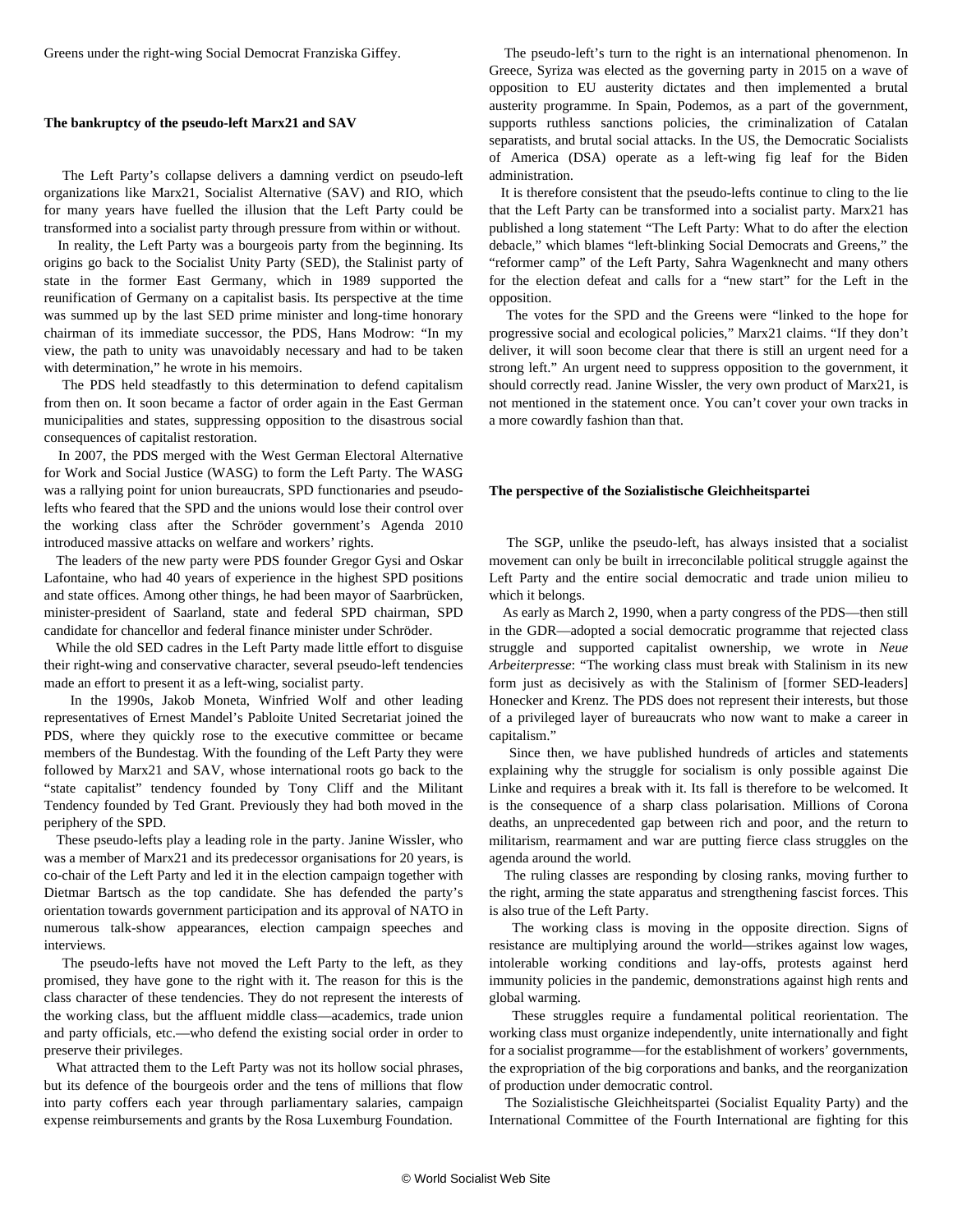Greens under the right-wing Social Democrat Franziska Giffey.

#### **The bankruptcy of the pseudo-left Marx21 and SAV**

 The Left Party's collapse delivers a damning verdict on pseudo-left organizations like Marx21, Socialist Alternative (SAV) and RIO, which for many years have fuelled the illusion that the Left Party could be transformed into a socialist party through pressure from within or without.

 In reality, the Left Party was a bourgeois party from the beginning. Its origins go back to the Socialist Unity Party (SED), the Stalinist party of state in the former East Germany, which in 1989 supported the reunification of Germany on a capitalist basis. Its perspective at the time was summed up by the last SED prime minister and long-time honorary chairman of its immediate successor, the PDS, Hans Modrow: "In my view, the path to unity was unavoidably necessary and had to be taken with determination," he wrote in his memoirs.

 The PDS held steadfastly to this determination to defend capitalism from then on. It soon became a factor of order again in the East German municipalities and states, suppressing opposition to the disastrous social consequences of capitalist restoration.

 In 2007, the PDS merged with the West German Electoral Alternative for Work and Social Justice (WASG) to form the Left Party. The WASG was a rallying point for union bureaucrats, SPD functionaries and pseudolefts who feared that the SPD and the unions would lose their control over the working class after the Schröder government's Agenda 2010 introduced massive attacks on welfare and workers' rights.

 The leaders of the new party were PDS founder Gregor Gysi and Oskar Lafontaine, who had 40 years of experience in the highest SPD positions and state offices. Among other things, he had been mayor of Saarbrücken, minister-president of Saarland, state and federal SPD chairman, SPD candidate for chancellor and federal finance minister under Schröder.

 While the old SED cadres in the Left Party made little effort to disguise their right-wing and conservative character, several pseudo-left tendencies made an effort to present it as a left-wing, socialist party.

 In the 1990s, Jakob Moneta, Winfried Wolf and other leading representatives of Ernest Mandel's Pabloite United Secretariat joined the PDS, where they quickly rose to the executive committee or became members of the Bundestag. With the founding of the Left Party they were followed by Marx21 and SAV, whose international roots go back to the "state capitalist" tendency founded by Tony Cliff and the Militant Tendency founded by Ted Grant. Previously they had both moved in the periphery of the SPD.

 These pseudo-lefts play a leading role in the party. Janine Wissler, who was a member of Marx21 and its predecessor organisations for 20 years, is co-chair of the Left Party and led it in the election campaign together with Dietmar Bartsch as the top candidate. She has defended the party's orientation towards government participation and its approval of NATO in numerous talk-show appearances, election campaign speeches and interviews.

 The pseudo-lefts have not moved the Left Party to the left, as they promised, they have gone to the right with it. The reason for this is the class character of these tendencies. They do not represent the interests of the working class, but the affluent middle class—academics, trade union and party officials, etc.—who defend the existing social order in order to preserve their privileges.

 What attracted them to the Left Party was not its hollow social phrases, but its defence of the bourgeois order and the tens of millions that flow into party coffers each year through parliamentary salaries, campaign expense reimbursements and grants by the Rosa Luxemburg Foundation.

 The pseudo-left's turn to the right is an international phenomenon. In Greece, Syriza was elected as the governing party in 2015 on a wave of opposition to EU austerity dictates and then implemented a brutal austerity programme. In Spain, Podemos, as a part of the government, supports ruthless sanctions policies, the criminalization of Catalan separatists, and brutal social attacks. In the US, the Democratic Socialists of America (DSA) operate as a left-wing fig leaf for the Biden administration.

 It is therefore consistent that the pseudo-lefts continue to cling to the lie that the Left Party can be transformed into a socialist party. Marx21 has published a long statement "The Left Party: What to do after the election debacle," which blames "left-blinking Social Democrats and Greens," the "reformer camp" of the Left Party, Sahra Wagenknecht and many others for the election defeat and calls for a "new start" for the Left in the opposition.

 The votes for the SPD and the Greens were "linked to the hope for progressive social and ecological policies," Marx21 claims. "If they don't deliver, it will soon become clear that there is still an urgent need for a strong left." An urgent need to suppress opposition to the government, it should correctly read. Janine Wissler, the very own product of Marx21, is not mentioned in the statement once. You can't cover your own tracks in a more cowardly fashion than that.

#### **The perspective of the Sozialistische Gleichheitspartei**

 The SGP, unlike the pseudo-left, has always insisted that a socialist movement can only be built in irreconcilable political struggle against the Left Party and the entire social democratic and trade union milieu to which it belongs.

 As early as March 2, 1990, when a party congress of the PDS—then still in the GDR—adopted a social democratic programme that rejected class struggle and supported capitalist ownership, we wrote in *Neue Arbeiterpresse*: "The working class must break with Stalinism in its new form just as decisively as with the Stalinism of [former SED-leaders] Honecker and Krenz. The PDS does not represent their interests, but those of a privileged layer of bureaucrats who now want to make a career in capitalism."

 Since then, we have published hundreds of articles and statements explaining why the struggle for socialism is only possible against Die Linke and requires a break with it. Its fall is therefore to be welcomed. It is the consequence of a sharp class polarisation. Millions of Corona deaths, an unprecedented gap between rich and poor, and the return to militarism, rearmament and war are putting fierce class struggles on the agenda around the world.

 The ruling classes are responding by closing ranks, moving further to the right, arming the state apparatus and strengthening fascist forces. This is also true of the Left Party.

 The working class is moving in the opposite direction. Signs of resistance are multiplying around the world—strikes against low wages, intolerable working conditions and lay-offs, protests against herd immunity policies in the pandemic, demonstrations against high rents and global warming.

 These struggles require a fundamental political reorientation. The working class must organize independently, unite internationally and fight for a socialist programme—for the establishment of workers' governments, the expropriation of the big corporations and banks, and the reorganization of production under democratic control.

 The Sozialistische Gleichheitspartei (Socialist Equality Party) and the International Committee of the Fourth International are fighting for this